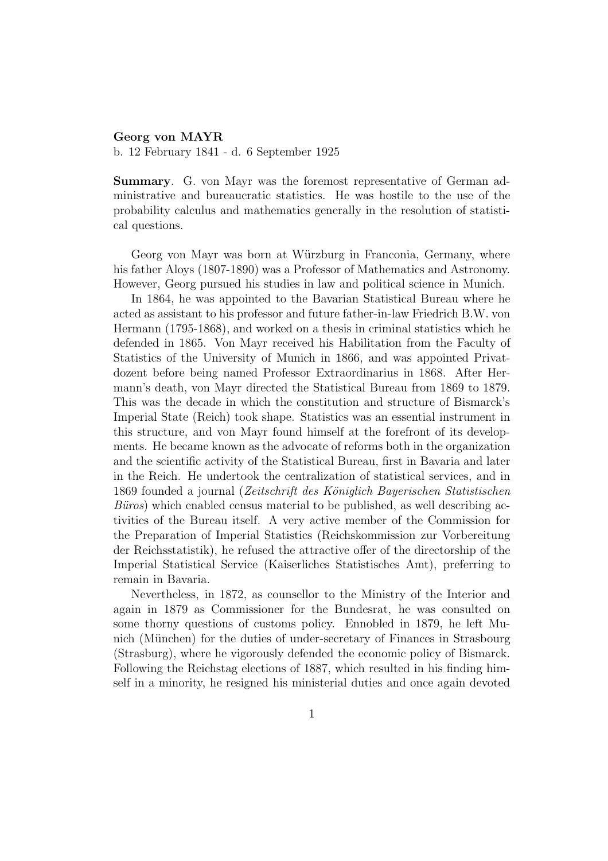## Georg von MAYR

b. 12 February 1841 - d. 6 September 1925

Summary. G. von Mayr was the foremost representative of German administrative and bureaucratic statistics. He was hostile to the use of the probability calculus and mathematics generally in the resolution of statistical questions.

Georg von Mayr was born at Würzburg in Franconia, Germany, where his father Aloys (1807-1890) was a Professor of Mathematics and Astronomy. However, Georg pursued his studies in law and political science in Munich.

In 1864, he was appointed to the Bavarian Statistical Bureau where he acted as assistant to his professor and future father-in-law Friedrich B.W. von Hermann (1795-1868), and worked on a thesis in criminal statistics which he defended in 1865. Von Mayr received his Habilitation from the Faculty of Statistics of the University of Munich in 1866, and was appointed Privatdozent before being named Professor Extraordinarius in 1868. After Hermann's death, von Mayr directed the Statistical Bureau from 1869 to 1879. This was the decade in which the constitution and structure of Bismarck's Imperial State (Reich) took shape. Statistics was an essential instrument in this structure, and von Mayr found himself at the forefront of its developments. He became known as the advocate of reforms both in the organization and the scientific activity of the Statistical Bureau, first in Bavaria and later in the Reich. He undertook the centralization of statistical services, and in 1869 founded a journal (Zeitschrift des Königlich Bayerischen Statistischen  $B\ddot{u}ros$ ) which enabled census material to be published, as well describing activities of the Bureau itself. A very active member of the Commission for the Preparation of Imperial Statistics (Reichskommission zur Vorbereitung der Reichsstatistik), he refused the attractive offer of the directorship of the Imperial Statistical Service (Kaiserliches Statistisches Amt), preferring to remain in Bavaria.

Nevertheless, in 1872, as counsellor to the Ministry of the Interior and again in 1879 as Commissioner for the Bundesrat, he was consulted on some thorny questions of customs policy. Ennobled in 1879, he left Munich (München) for the duties of under-secretary of Finances in Strasbourg (Strasburg), where he vigorously defended the economic policy of Bismarck. Following the Reichstag elections of 1887, which resulted in his finding himself in a minority, he resigned his ministerial duties and once again devoted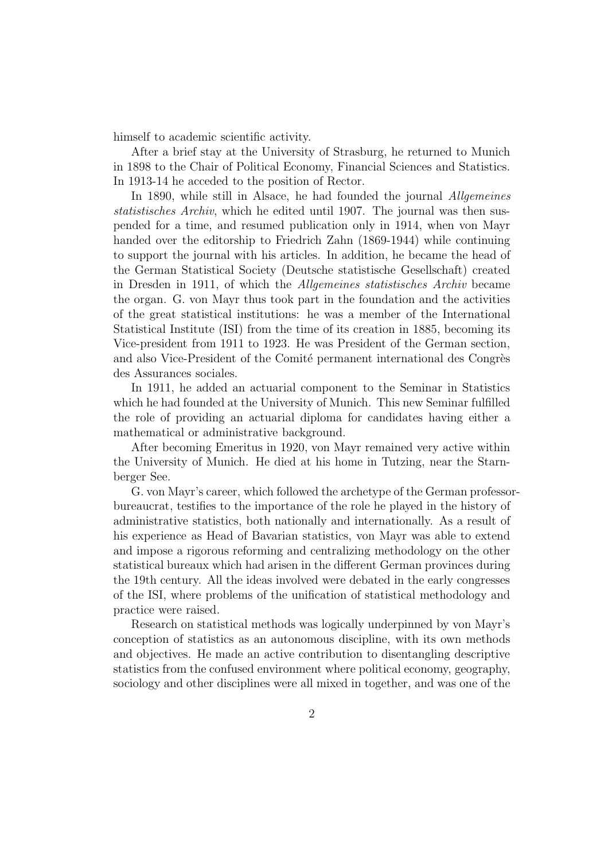himself to academic scientific activity.

After a brief stay at the University of Strasburg, he returned to Munich in 1898 to the Chair of Political Economy, Financial Sciences and Statistics. In 1913-14 he acceded to the position of Rector.

In 1890, while still in Alsace, he had founded the journal *Allgemeines* statistisches Archiv, which he edited until 1907. The journal was then suspended for a time, and resumed publication only in 1914, when von Mayr handed over the editorship to Friedrich Zahn (1869-1944) while continuing to support the journal with his articles. In addition, he became the head of the German Statistical Society (Deutsche statistische Gesellschaft) created in Dresden in 1911, of which the Allgemeines statistisches Archiv became the organ. G. von Mayr thus took part in the foundation and the activities of the great statistical institutions: he was a member of the International Statistical Institute (ISI) from the time of its creation in 1885, becoming its Vice-president from 1911 to 1923. He was President of the German section, and also Vice-President of the Comité permanent international des Congrès des Assurances sociales.

In 1911, he added an actuarial component to the Seminar in Statistics which he had founded at the University of Munich. This new Seminar fulfilled the role of providing an actuarial diploma for candidates having either a mathematical or administrative background.

After becoming Emeritus in 1920, von Mayr remained very active within the University of Munich. He died at his home in Tutzing, near the Starnberger See.

G. von Mayr's career, which followed the archetype of the German professorbureaucrat, testifies to the importance of the role he played in the history of administrative statistics, both nationally and internationally. As a result of his experience as Head of Bavarian statistics, von Mayr was able to extend and impose a rigorous reforming and centralizing methodology on the other statistical bureaux which had arisen in the different German provinces during the 19th century. All the ideas involved were debated in the early congresses of the ISI, where problems of the unification of statistical methodology and practice were raised.

Research on statistical methods was logically underpinned by von Mayr's conception of statistics as an autonomous discipline, with its own methods and objectives. He made an active contribution to disentangling descriptive statistics from the confused environment where political economy, geography, sociology and other disciplines were all mixed in together, and was one of the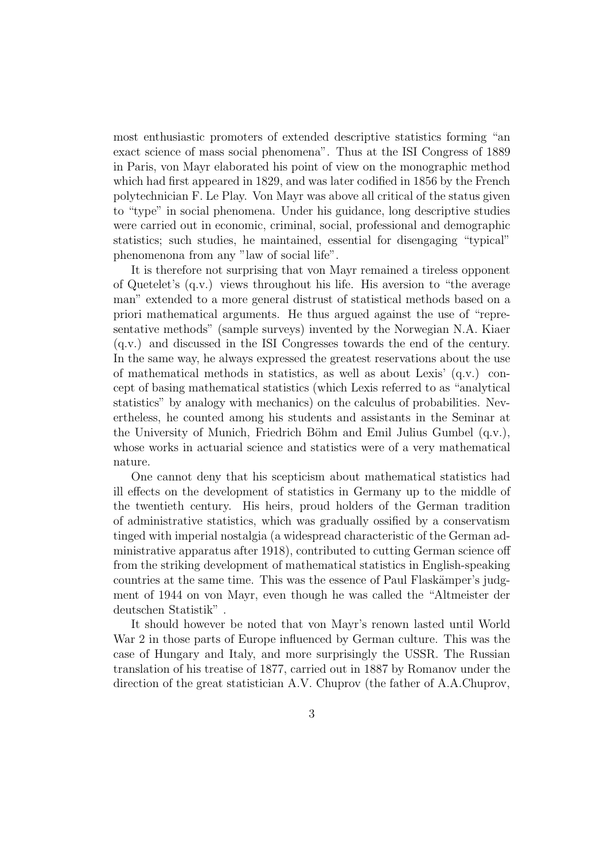most enthusiastic promoters of extended descriptive statistics forming "an exact science of mass social phenomena". Thus at the ISI Congress of 1889 in Paris, von Mayr elaborated his point of view on the monographic method which had first appeared in 1829, and was later codified in 1856 by the French polytechnician F. Le Play. Von Mayr was above all critical of the status given to "type" in social phenomena. Under his guidance, long descriptive studies were carried out in economic, criminal, social, professional and demographic statistics; such studies, he maintained, essential for disengaging "typical" phenomenona from any "law of social life".

It is therefore not surprising that von Mayr remained a tireless opponent of Quetelet's (q.v.) views throughout his life. His aversion to "the average man" extended to a more general distrust of statistical methods based on a priori mathematical arguments. He thus argued against the use of "representative methods" (sample surveys) invented by the Norwegian N.A. Kiaer (q.v.) and discussed in the ISI Congresses towards the end of the century. In the same way, he always expressed the greatest reservations about the use of mathematical methods in statistics, as well as about Lexis' (q.v.) concept of basing mathematical statistics (which Lexis referred to as "analytical statistics" by analogy with mechanics) on the calculus of probabilities. Nevertheless, he counted among his students and assistants in the Seminar at the University of Munich, Friedrich Böhm and Emil Julius Gumbel  $(q.v.)$ , whose works in actuarial science and statistics were of a very mathematical nature.

One cannot deny that his scepticism about mathematical statistics had ill effects on the development of statistics in Germany up to the middle of the twentieth century. His heirs, proud holders of the German tradition of administrative statistics, which was gradually ossified by a conservatism tinged with imperial nostalgia (a widespread characteristic of the German administrative apparatus after 1918), contributed to cutting German science off from the striking development of mathematical statistics in English-speaking countries at the same time. This was the essence of Paul Flaskämper's judgment of 1944 on von Mayr, even though he was called the "Altmeister der deutschen Statistik" .

It should however be noted that von Mayr's renown lasted until World War 2 in those parts of Europe influenced by German culture. This was the case of Hungary and Italy, and more surprisingly the USSR. The Russian translation of his treatise of 1877, carried out in 1887 by Romanov under the direction of the great statistician A.V. Chuprov (the father of A.A.Chuprov,